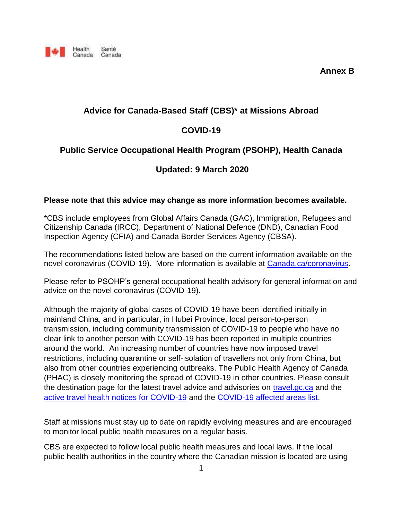

**Annex B**

# **Advice for Canada-Based Staff (CBS)\* at Missions Abroad**

# **COVID-19**

## **Public Service Occupational Health Program (PSOHP), Health Canada**

# **Updated: 9 March 2020**

#### **Please note that this advice may change as more information becomes available.**

\*CBS include employees from Global Affairs Canada (GAC), Immigration, Refugees and Citizenship Canada (IRCC), Department of National Defence (DND), Canadian Food Inspection Agency (CFIA) and Canada Border Services Agency (CBSA).

The recommendations listed below are based on the current information available on the novel coronavirus (COVID-19). More information is available at [Canada.ca/coronavirus.](http://www.canada.ca/coronavirus)

Please refer to PSOHP's general occupational health advisory for general information and advice on the novel coronavirus (COVID-19).

Although the majority of global cases of COVID-19 have been identified initially in mainland China, and in particular, in Hubei Province, local person-to-person transmission, including community transmission of COVID-19 to people who have no clear link to another person with COVID-19 has been reported in multiple countries around the world. An increasing number of countries have now imposed travel restrictions, including quarantine or self-isolation of travellers not only from China, but also from other countries experiencing outbreaks. The Public Health Agency of Canada (PHAC) is closely monitoring the spread of COVID-19 in other countries. Please consult the destination page for the latest travel advice and advisories on travel.gc.ca and the [active travel health notices for COVID-19](https://www.canada.ca/en/public-health/services/diseases/2019-novel-coronavirus-infection/latest-travel-health-advice.html#ath) and the [COVID-19 affected areas list.](https://www.canada.ca/en/public-health/services/diseases/2019-novel-coronavirus-infection/health-professionals/covid-19-affected-areas-list.html)

Staff at missions must stay up to date on rapidly evolving measures and are encouraged to monitor local public health measures on a regular basis.

CBS are expected to follow local public health measures and local laws. If the local public health authorities in the country where the Canadian mission is located are using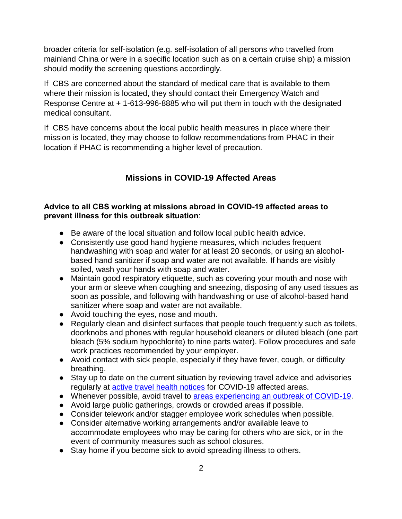broader criteria for self-isolation (e.g. self-isolation of all persons who travelled from mainland China or were in a specific location such as on a certain cruise ship) a mission should modify the screening questions accordingly.

If CBS are concerned about the standard of medical care that is available to them where their mission is located, they should contact their Emergency Watch and Response Centre at + 1-613-996-8885 who will put them in touch with the designated medical consultant.

If CBS have concerns about the local public health measures in place where their mission is located, they may choose to follow recommendations from PHAC in their location if PHAC is recommending a higher level of precaution.

## **Missions in COVID-19 Affected Areas**

#### **Advice to all CBS working at missions abroad in COVID-19 affected areas to prevent illness for this outbreak situation**:

- Be aware of the local situation and follow local public health advice.
- Consistently use good hand hygiene measures, which includes frequent handwashing with soap and water for at least 20 seconds, or using an alcoholbased hand sanitizer if soap and water are not available. If hands are visibly soiled, wash your hands with soap and water.
- Maintain good respiratory etiquette, such as covering your mouth and nose with your arm or sleeve when coughing and sneezing, disposing of any used tissues as soon as possible, and following with handwashing or use of alcohol-based hand sanitizer where soap and water are not available.
- Avoid touching the eyes, nose and mouth.
- Regularly clean and disinfect surfaces that people touch frequently such as toilets, doorknobs and phones with regular household cleaners or diluted bleach (one part bleach (5% sodium hypochlorite) to nine parts water). Follow procedures and safe work practices recommended by your employer.
- Avoid contact with sick people, especially if they have fever, cough, or difficulty breathing.
- Stay up to date on the current situation by reviewing travel advice and advisories regularly at [active travel health notices](https://www.canada.ca/en/public-health/services/diseases/2019-novel-coronavirus-infection/latest-travel-health-advice.html) for COVID-19 affected areas.
- Whenever possible, avoid travel to [areas experiencing an outbreak of COVID-19.](https://www.canada.ca/en/public-health/services/diseases/2019-novel-coronavirus-infection/latest-travel-health-advice.html)
- Avoid large public gatherings, crowds or crowded areas if possible.
- Consider telework and/or stagger employee work schedules when possible.
- Consider alternative working arrangements and/or available leave to accommodate employees who may be caring for others who are sick, or in the event of community measures such as school closures.
- Stay home if you become sick to avoid spreading illness to others.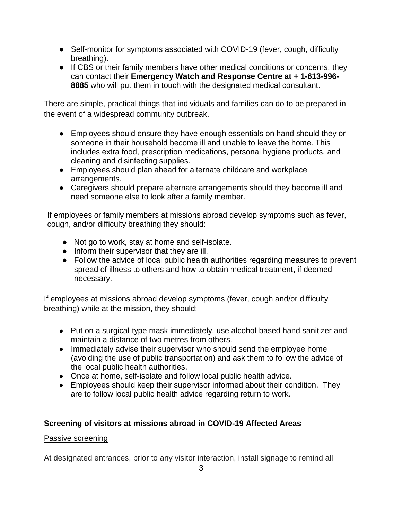- Self-monitor for symptoms associated with COVID-19 (fever, cough, difficulty breathing).
- If CBS or their family members have other medical conditions or concerns, they can contact their **Emergency Watch and Response Centre at + 1-613-996- 8885** who will put them in touch with the designated medical consultant.

There are simple, practical things that individuals and families can do to be prepared in the event of a widespread community outbreak.

- Employees should ensure they have enough essentials on hand should they or someone in their household become ill and unable to leave the home. This includes extra food, prescription medications, personal hygiene products, and cleaning and disinfecting supplies.
- Employees should plan ahead for alternate childcare and workplace arrangements.
- Caregivers should prepare alternate arrangements should they become ill and need someone else to look after a family member.

If employees or family members at missions abroad develop symptoms such as fever, cough, and/or difficulty breathing they should:

- Not go to work, stay at home and self-isolate.
- Inform their supervisor that they are ill.
- Follow the advice of local public health authorities regarding measures to prevent spread of illness to others and how to obtain medical treatment, if deemed necessary.

If employees at missions abroad develop symptoms (fever, cough and/or difficulty breathing) while at the mission, they should:

- Put on a surgical-type mask immediately, use alcohol-based hand sanitizer and maintain a distance of two metres from others.
- Immediately advise their supervisor who should send the employee home (avoiding the use of public transportation) and ask them to follow the advice of the local public health authorities.
- Once at home, self-isolate and follow local public health advice.
- Employees should keep their supervisor informed about their condition. They are to follow local public health advice regarding return to work.

# **Screening of visitors at missions abroad in COVID-19 Affected Areas**

## Passive screening

At designated entrances, prior to any visitor interaction, install signage to remind all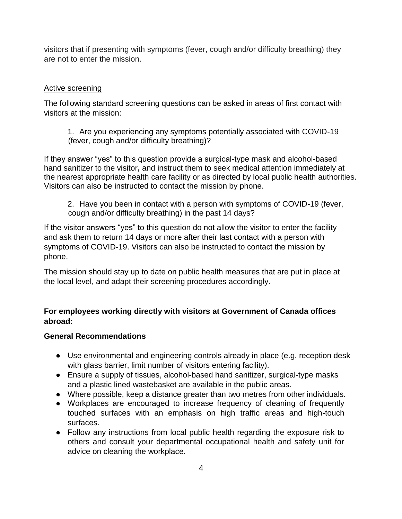visitors that if presenting with symptoms (fever, cough and/or difficulty breathing) they are not to enter the mission.

### Active screening

The following standard screening questions can be asked in areas of first contact with visitors at the mission:

1. Are you experiencing any symptoms potentially associated with COVID-19 (fever, cough and/or difficulty breathing)?

If they answer "yes" to this question provide a surgical-type mask and alcohol-based hand sanitizer to the visitor**,** and instruct them to seek medical attention immediately at the nearest appropriate health care facility or as directed by local public health authorities. Visitors can also be instructed to contact the mission by phone.

2. Have you been in contact with a person with symptoms of COVID-19 (fever, cough and/or difficulty breathing) in the past 14 days?

If the visitor answers "yes" to this question do not allow the visitor to enter the facility and ask them to return 14 days or more after their last contact with a person with symptoms of COVID-19. Visitors can also be instructed to contact the mission by phone.

The mission should stay up to date on public health measures that are put in place at the local level, and adapt their screening procedures accordingly.

## **For employees working directly with visitors at Government of Canada offices abroad:**

#### **General Recommendations**

- Use environmental and engineering controls already in place (e.g. reception desk with glass barrier, limit number of visitors entering facility).
- Ensure a supply of tissues, alcohol-based hand sanitizer, surgical-type masks and a plastic lined wastebasket are available in the public areas.
- Where possible, keep a distance greater than two metres from other individuals.
- Workplaces are encouraged to increase frequency of cleaning of frequently touched surfaces with an emphasis on high traffic areas and high-touch surfaces.
- Follow any instructions from local public health regarding the exposure risk to others and consult your departmental occupational health and safety unit for advice on cleaning the workplace.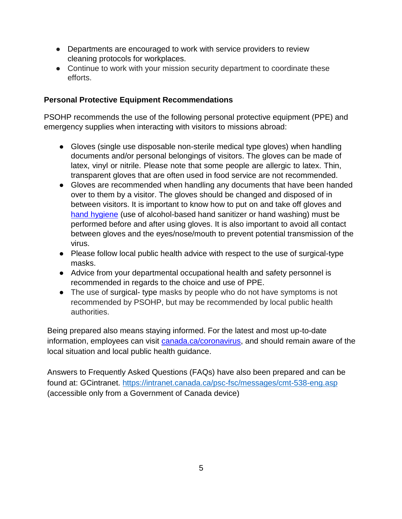- Departments are encouraged to work with service providers to review cleaning protocols for workplaces.
- Continue to work with your mission security department to coordinate these efforts.

## **Personal Protective Equipment Recommendations**

PSOHP recommends the use of the following personal protective equipment (PPE) and emergency supplies when interacting with visitors to missions abroad:

- Gloves (single use disposable non-sterile medical type gloves) when handling documents and/or personal belongings of visitors. The gloves can be made of latex, vinyl or nitrile. Please note that some people are allergic to latex. Thin, transparent gloves that are often used in food service are not recommended.
- Gloves are recommended when handling any documents that have been handed over to them by a visitor. The gloves should be changed and disposed of in between visitors. It is important to know how to put on and take off gloves and [hand hygiene](https://www.ccohs.ca/oshanswers/diseases/washing_hands.html) (use of alcohol-based hand sanitizer or hand washing) must be performed before and after using gloves. It is also important to avoid all contact between gloves and the eyes/nose/mouth to prevent potential transmission of the virus.
- Please follow local public health advice with respect to the use of surgical-type masks.
- Advice from your departmental occupational health and safety personnel is recommended in regards to the choice and use of PPE.
- The use of surgical- type masks by people who do not have symptoms is not recommended by PSOHP, but may be recommended by local public health authorities.

Being prepared also means staying informed. For the latest and most up-to-date information, employees can visit [canada.ca/coronavirus,](https://www.canada.ca/en/public-health/services/diseases/2019-novel-coronavirus-infection.html?utm_campaign=not-applicable&utm_medium=vanity-url&utm_source=canada-ca_coronavirus) and should remain aware of the local situation and local public health guidance.

Answers to Frequently Asked Questions (FAQs) have also been prepared and can be found at: GCintranet. <https://intranet.canada.ca/psc-fsc/messages/cmt-538-eng.asp> (accessible only from a Government of Canada device)